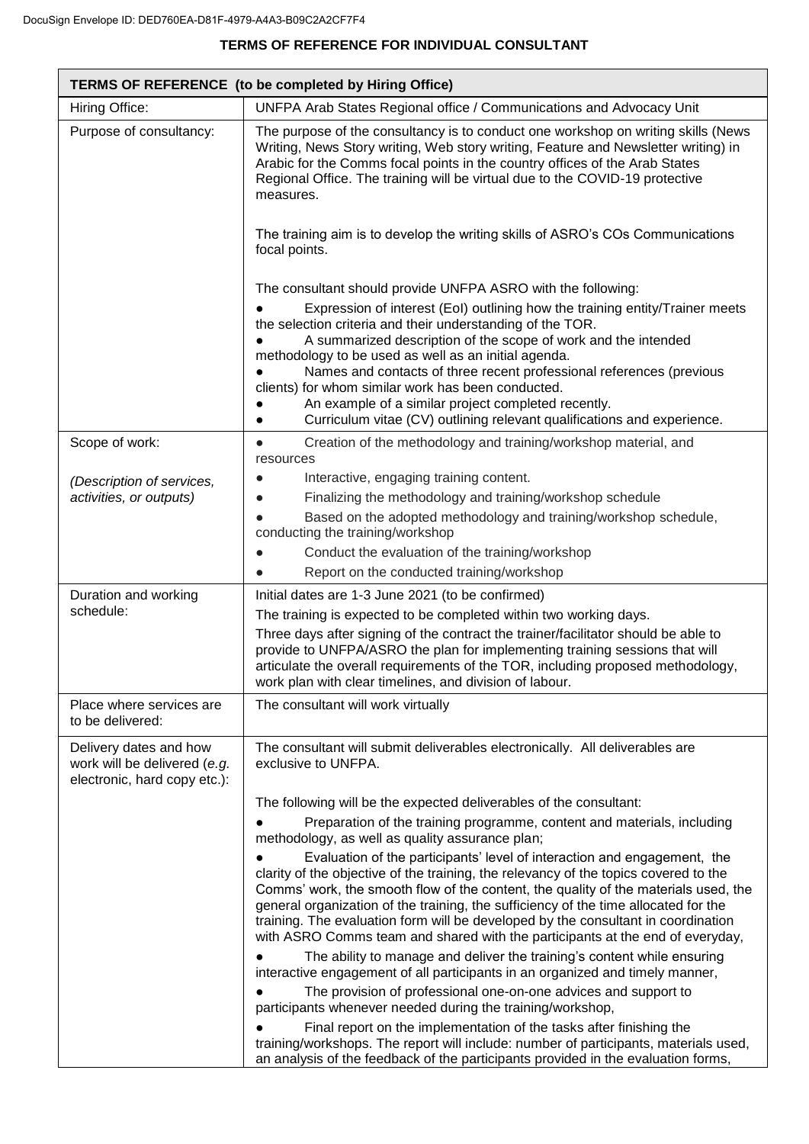## **TERMS OF REFERENCE FOR INDIVIDUAL CONSULTANT**

| <b>TERMS OF REFERENCE</b> (to be completed by Hiring Office)                           |                                                                                                                                                                                                                                                                                                                                                                                                                                                                                                                      |
|----------------------------------------------------------------------------------------|----------------------------------------------------------------------------------------------------------------------------------------------------------------------------------------------------------------------------------------------------------------------------------------------------------------------------------------------------------------------------------------------------------------------------------------------------------------------------------------------------------------------|
| Hiring Office:                                                                         | UNFPA Arab States Regional office / Communications and Advocacy Unit                                                                                                                                                                                                                                                                                                                                                                                                                                                 |
| Purpose of consultancy:                                                                | The purpose of the consultancy is to conduct one workshop on writing skills (News)<br>Writing, News Story writing, Web story writing, Feature and Newsletter writing) in<br>Arabic for the Comms focal points in the country offices of the Arab States<br>Regional Office. The training will be virtual due to the COVID-19 protective<br>measures.                                                                                                                                                                 |
|                                                                                        | The training aim is to develop the writing skills of ASRO's COs Communications<br>focal points.                                                                                                                                                                                                                                                                                                                                                                                                                      |
|                                                                                        | The consultant should provide UNFPA ASRO with the following:                                                                                                                                                                                                                                                                                                                                                                                                                                                         |
|                                                                                        | Expression of interest (EoI) outlining how the training entity/Trainer meets<br>the selection criteria and their understanding of the TOR.<br>A summarized description of the scope of work and the intended                                                                                                                                                                                                                                                                                                         |
|                                                                                        | methodology to be used as well as an initial agenda.<br>Names and contacts of three recent professional references (previous<br>clients) for whom similar work has been conducted.<br>An example of a similar project completed recently.<br>Curriculum vitae (CV) outlining relevant qualifications and experience.                                                                                                                                                                                                 |
| Scope of work:                                                                         | Creation of the methodology and training/workshop material, and<br>$\bullet$<br>resources                                                                                                                                                                                                                                                                                                                                                                                                                            |
| (Description of services,                                                              | Interactive, engaging training content.                                                                                                                                                                                                                                                                                                                                                                                                                                                                              |
| activities, or outputs)                                                                | Finalizing the methodology and training/workshop schedule                                                                                                                                                                                                                                                                                                                                                                                                                                                            |
|                                                                                        | Based on the adopted methodology and training/workshop schedule,<br>conducting the training/workshop                                                                                                                                                                                                                                                                                                                                                                                                                 |
|                                                                                        | Conduct the evaluation of the training/workshop                                                                                                                                                                                                                                                                                                                                                                                                                                                                      |
|                                                                                        | Report on the conducted training/workshop                                                                                                                                                                                                                                                                                                                                                                                                                                                                            |
| Duration and working<br>schedule:                                                      | Initial dates are 1-3 June 2021 (to be confirmed)                                                                                                                                                                                                                                                                                                                                                                                                                                                                    |
|                                                                                        | The training is expected to be completed within two working days.                                                                                                                                                                                                                                                                                                                                                                                                                                                    |
|                                                                                        | Three days after signing of the contract the trainer/facilitator should be able to<br>provide to UNFPA/ASRO the plan for implementing training sessions that will<br>articulate the overall requirements of the TOR, including proposed methodology,<br>work plan with clear timelines, and division of labour.                                                                                                                                                                                                      |
| Place where services are<br>to be delivered:                                           | The consultant will work virtually                                                                                                                                                                                                                                                                                                                                                                                                                                                                                   |
| Delivery dates and how<br>work will be delivered (e.g.<br>electronic, hard copy etc.): | The consultant will submit deliverables electronically. All deliverables are<br>exclusive to UNFPA.                                                                                                                                                                                                                                                                                                                                                                                                                  |
|                                                                                        | The following will be the expected deliverables of the consultant:                                                                                                                                                                                                                                                                                                                                                                                                                                                   |
|                                                                                        | Preparation of the training programme, content and materials, including<br>methodology, as well as quality assurance plan;                                                                                                                                                                                                                                                                                                                                                                                           |
|                                                                                        | Evaluation of the participants' level of interaction and engagement, the<br>clarity of the objective of the training, the relevancy of the topics covered to the<br>Comms' work, the smooth flow of the content, the quality of the materials used, the<br>general organization of the training, the sufficiency of the time allocated for the<br>training. The evaluation form will be developed by the consultant in coordination<br>with ASRO Comms team and shared with the participants at the end of everyday, |
|                                                                                        | The ability to manage and deliver the training's content while ensuring<br>interactive engagement of all participants in an organized and timely manner,                                                                                                                                                                                                                                                                                                                                                             |
|                                                                                        | The provision of professional one-on-one advices and support to<br>participants whenever needed during the training/workshop,                                                                                                                                                                                                                                                                                                                                                                                        |
|                                                                                        | Final report on the implementation of the tasks after finishing the<br>training/workshops. The report will include: number of participants, materials used,<br>an analysis of the feedback of the participants provided in the evaluation forms,                                                                                                                                                                                                                                                                     |